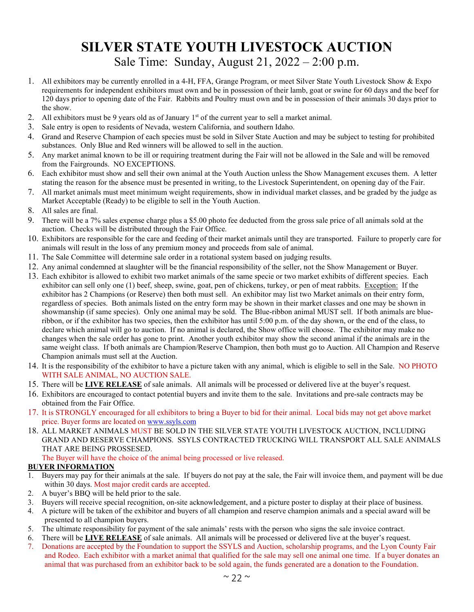# **SILVER STATE YOUTH LIVESTOCK AUCTION** Sale Time: Sunday, August 21, 2022 – 2:00 p.m.

- 1. All exhibitors may be currently enrolled in a 4-H, FFA, Grange Program, or meet Silver State Youth Livestock Show & Expo requirements for independent exhibitors must own and be in possession of their lamb, goat or swine for 60 days and the beef for 120 days prior to opening date of the Fair. Rabbits and Poultry must own and be in possession of their animals 30 days prior to the show.
- 2. All exhibitors must be 9 years old as of January 1<sup>st</sup> of the current year to sell a market animal.
- 3. Sale entry is open to residents of Nevada, western California, and southern Idaho.
- 4. Grand and Reserve Champion of each species must be sold in Silver State Auction and may be subject to testing for prohibited substances. Only Blue and Red winners will be allowed to sell in the auction.
- 5. Any market animal known to be ill or requiring treatment during the Fair will not be allowed in the Sale and will be removed from the Fairgrounds. NO EXCEPTIONS.
- 6. Each exhibitor must show and sell their own animal at the Youth Auction unless the Show Management excuses them. A letter stating the reason for the absence must be presented in writing, to the Livestock Superintendent, on opening day of the Fair.
- 7. All market animals must meet minimum weight requirements, show in individual market classes, and be graded by the judge as Market Acceptable (Ready) to be eligible to sell in the Youth Auction.
- 8. All sales are final.
- 9. There will be a 7% sales expense charge plus a \$5.00 photo fee deducted from the gross sale price of all animals sold at the auction. Checks will be distributed through the Fair Office.
- 10. Exhibitors are responsible for the care and feeding of their market animals until they are transported. Failure to properly care for animals will result in the loss of any premium money and proceeds from sale of animal.
- 11. The Sale Committee will determine sale order in a rotational system based on judging results.
- 12. Any animal condemned at slaughter will be the financial responsibility of the seller, not the Show Management or Buyer.
- 13. Each exhibitor is allowed to exhibit two market animals of the same specie or two market exhibits of different species. Each exhibitor can sell only one (1) beef, sheep, swine, goat, pen of chickens, turkey, or pen of meat rabbits. Exception: If the exhibitor has 2 Champions (or Reserve) then both must sell. An exhibitor may list two Market animals on their entry form, regardless of species. Both animals listed on the entry form may be shown in their market classes and one may be shown in showmanship (if same species). Only one animal may be sold. The Blue-ribbon animal MUST sell. If both animals are blueribbon, or if the exhibitor has two species, then the exhibitor has until 5:00 p.m. of the day shown, or the end of the class, to declare which animal will go to auction. If no animal is declared, the Show office will choose. The exhibitor may make no changes when the sale order has gone to print. Another youth exhibitor may show the second animal if the animals are in the same weight class. If both animals are Champion/Reserve Champion, then both must go to Auction. All Champion and Reserve Champion animals must sell at the Auction.
- 14. It is the responsibility of the exhibitor to have a picture taken with any animal, which is eligible to sell in the Sale. NO PHOTO WITH SALE ANIMAL, NO AUCTION SALE.
- 15. There will be **LIVE RELEASE** of sale animals. All animals will be processed or delivered live at the buyer's request.
- 16. Exhibitors are encouraged to contact potential buyers and invite them to the sale. Invitations and pre-sale contracts may be obtained from the Fair Office.
- 17. It is STRONGLY encouraged for all exhibitors to bring a Buyer to bid for their animal. Local bids may not get above market price. Buyer forms are located on [www.ssyls.com](http://www.ssyls.com/)
- 18. ALL MARKET ANIMALS MUST BE SOLD IN THE SILVER STATE YOUTH LIVESTOCK AUCTION, INCLUDING GRAND AND RESERVE CHAMPIONS. SSYLS CONTRACTED TRUCKING WILL TRANSPORT ALL SALE ANIMALS THAT ARE BEING PROSSESED.

The Buyer will have the choice of the animal being processed or live released.

#### **BUYER INFORMATION**

- 1. Buyers may pay for their animals at the sale. If buyers do not pay at the sale, the Fair will invoice them, and payment will be due within 30 days. Most major credit cards are accepted.
- 2. A buyer's BBQ will be held prior to the sale.
- 3. Buyers will receive special recognition, on-site acknowledgement, and a picture poster to display at their place of business.
- 4. A picture will be taken of the exhibitor and buyers of all champion and reserve champion animals and a special award will be presented to all champion buyers.
- 5. The ultimate responsibility for payment of the sale animals' rests with the person who signs the sale invoice contract.
- 6. There will be **LIVE RELEASE** of sale animals. All animals will be processed or delivered live at the buyer's request.
- 7. Donations are accepted by the Foundation to support the SSYLS and Auction, scholarship programs, and the Lyon County Fair and Rodeo. Each exhibitor with a market animal that qualified for the sale may sell one animal one time. If a buyer donates an animal that was purchased from an exhibitor back to be sold again, the funds generated are a donation to the Foundation.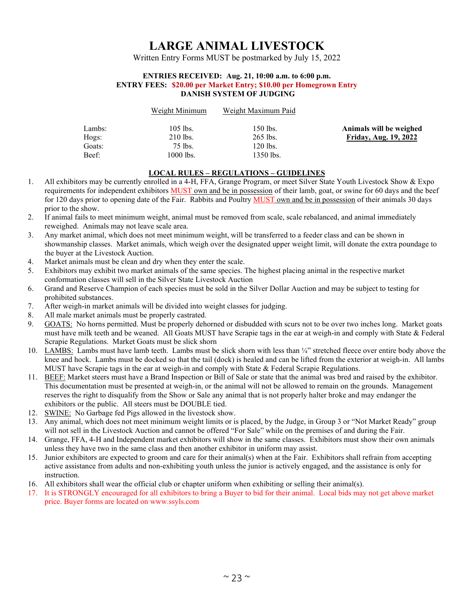## **LARGE ANIMAL LIVESTOCK**

Written Entry Forms MUST be postmarked by July 15, 2022

#### **ENTRIES RECEIVED: Aug. 21, 10:00 a.m. to 6:00 p.m. ENTRY FEES: \$20.00 per Market Entry; \$10.00 per Homegrown Entry DANISH SYSTEM OF JUDGING**

|        | Weight Minimum | Weight Maximum Paid |                              |
|--------|----------------|---------------------|------------------------------|
| Lambs: | $105$ lbs.     | 150 lbs.            | Animals will be weighed      |
| Hogs:  | $210$ lbs.     | $265$ lbs.          | <b>Friday, Aug. 19, 2022</b> |
| Goats: | 75 lbs.        | 120 lbs.            |                              |
| Beef:  | 1000 lbs.      | $1350$ lbs.         |                              |
|        |                |                     |                              |

#### **LOCAL RULES – REGULATIONS – GUIDELINES**

- 1. All exhibitors may be currently enrolled in a 4-H, FFA, Grange Program, or meet Silver State Youth Livestock Show & Expo requirements for independent exhibitors MUST own and be in possession of their lamb, goat, or swine for 60 days and the beef for 120 days prior to opening date of the Fair. Rabbits and Poultry MUST own and be in possession of their animals 30 days prior to the show.
- 2. If animal fails to meet minimum weight, animal must be removed from scale, scale rebalanced, and animal immediately reweighed. Animals may not leave scale area.
- 3. Any market animal, which does not meet minimum weight, will be transferred to a feeder class and can be shown in showmanship classes. Market animals, which weigh over the designated upper weight limit, will donate the extra poundage to the buyer at the Livestock Auction.
- 4. Market animals must be clean and dry when they enter the scale.
- 5. Exhibitors may exhibit two market animals of the same species. The highest placing animal in the respective market conformation classes will sell in the Silver State Livestock Auction
- 6. Grand and Reserve Champion of each species must be sold in the Silver Dollar Auction and may be subject to testing for prohibited substances.
- 7. After weigh-in market animals will be divided into weight classes for judging.
- 8. All male market animals must be properly castrated.
- 9. GOATS: No horns permitted. Must be properly dehorned or disbudded with scurs not to be over two inches long. Market goats must have milk teeth and be weaned. All Goats MUST have Scrapie tags in the ear at weigh-in and comply with State & Federal Scrapie Regulations. Market Goats must be slick shorn
- 10. LAMBS: Lambs must have lamb teeth. Lambs must be slick shorn with less than ¼" stretched fleece over entire body above the knee and hock. Lambs must be docked so that the tail (dock) is healed and can be lifted from the exterior at weigh-in. All lambs MUST have Scrapie tags in the ear at weigh-in and comply with State & Federal Scrapie Regulations.
- 11. BEEF: Market steers must have a Brand Inspection or Bill of Sale or state that the animal was bred and raised by the exhibitor. This documentation must be presented at weigh-in, or the animal will not be allowed to remain on the grounds. Management reserves the right to disqualify from the Show or Sale any animal that is not properly halter broke and may endanger the exhibitors or the public. All steers must be DOUBLE tied.
- 12. SWINE: No Garbage fed Pigs allowed in the livestock show.
- 13. Any animal, which does not meet minimum weight limits or is placed, by the Judge, in Group 3 or "Not Market Ready" group will not sell in the Livestock Auction and cannot be offered "For Sale" while on the premises of and during the Fair.
- 14. Grange, FFA, 4-H and Independent market exhibitors will show in the same classes. Exhibitors must show their own animals unless they have two in the same class and then another exhibitor in uniform may assist.
- 15. Junior exhibitors are expected to groom and care for their animal(s) when at the Fair. Exhibitors shall refrain from accepting active assistance from adults and non-exhibiting youth unless the junior is actively engaged, and the assistance is only for instruction.
- 16. All exhibitors shall wear the official club or chapter uniform when exhibiting or selling their animal(s).
- 17. It is STRONGLY encouraged for all exhibitors to bring a Buyer to bid for their animal. Local bids may not get above market price. Buyer forms are located on www.ssyls.com